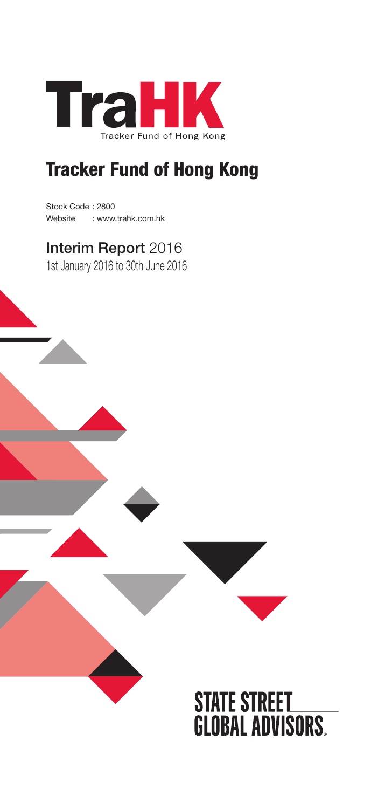

## Tracker Fund of Hong Kong

Stock Code : 2800 Website : www.trahk.com.hk

## Interim Report 2016

1st January 2016 to 30th June 2016

# **STATE STREET<br>GLOBAL ADVISORS.**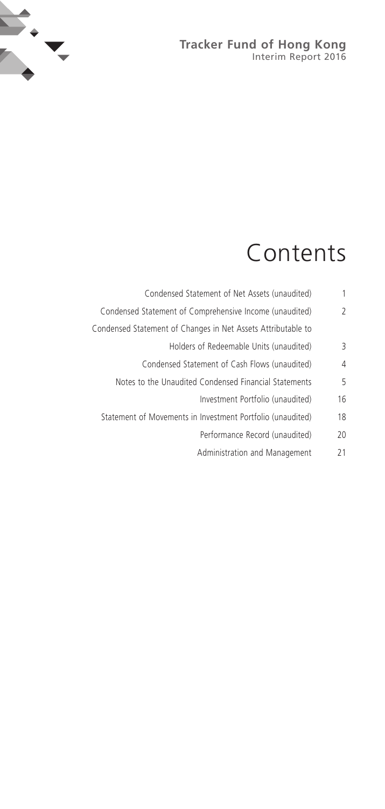#### **Tracker Fund of Hong Kong** Interim Report 2016



# Contents

| 1              | Condensed Statement of Net Assets (unaudited)                |
|----------------|--------------------------------------------------------------|
| $\overline{2}$ | Condensed Statement of Comprehensive Income (unaudited)      |
|                | Condensed Statement of Changes in Net Assets Attributable to |
| 3              | Holders of Redeemable Units (unaudited)                      |
| $\overline{4}$ | Condensed Statement of Cash Flows (unaudited)                |
| 5              | Notes to the Unaudited Condensed Financial Statements        |
| 16             | Investment Portfolio (unaudited)                             |
| 18             | Statement of Movements in Investment Portfolio (unaudited)   |
| 20             | Performance Record (unaudited)                               |
| 21             | Administration and Management                                |
|                |                                                              |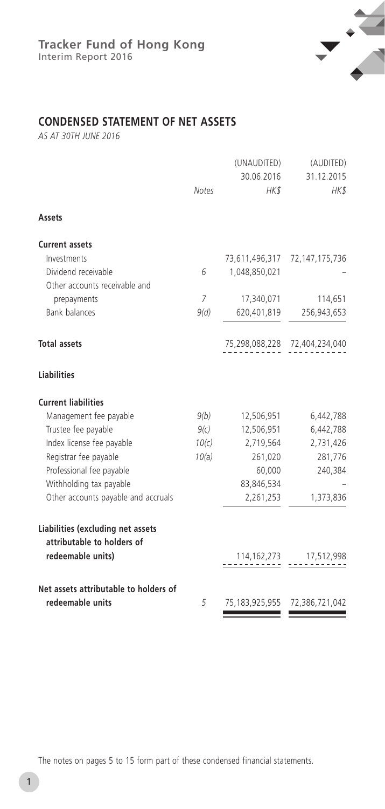

## **CONDENSED STATEMENT OF NET ASSETS**

*AS AT 30TH JUNE 2016*

|                                                                 | <b>Notes</b>   | (UNAUDITED)<br>30.06.2016<br>HK\$ | (AUDITED)<br>31.12.2015<br>HK\$ |
|-----------------------------------------------------------------|----------------|-----------------------------------|---------------------------------|
| Assets                                                          |                |                                   |                                 |
| <b>Current assets</b>                                           |                |                                   |                                 |
| Investments                                                     |                |                                   | 73,611,496,317 72,147,175,736   |
| Dividend receivable                                             | 6              | 1,048,850,021                     |                                 |
| Other accounts receivable and                                   |                |                                   |                                 |
| prepayments                                                     | $\overline{7}$ | 17,340,071                        | 114,651                         |
| <b>Bank balances</b>                                            | 9(d)           | 620,401,819                       | 256,943,653                     |
| <b>Total assets</b>                                             |                |                                   | 75,298,088,228 72,404,234,040   |
| <b>Liabilities</b>                                              |                |                                   |                                 |
| <b>Current liabilities</b>                                      |                |                                   |                                 |
| Management fee payable                                          | 9(b)           | 12,506,951                        | 6,442,788                       |
| Trustee fee payable                                             | 9(c)           | 12,506,951                        | 6,442,788                       |
| Index license fee payable                                       | 10(c)          | 2,719,564                         | 2,731,426                       |
| Registrar fee payable                                           | 10(a)          | 261,020                           | 281,776                         |
| Professional fee payable                                        |                | 60,000                            | 240,384                         |
| Withholding tax payable                                         |                | 83,846,534                        |                                 |
| Other accounts payable and accruals                             |                | 2,261,253                         | 1,373,836                       |
| Liabilities (excluding net assets<br>attributable to holders of |                |                                   |                                 |
| redeemable units)                                               |                |                                   | 114, 162, 273 17, 512, 998      |
| Net assets attributable to holders of                           |                |                                   |                                 |
| redeemable units                                                | 5              | 75,183,925,955                    | 72,386,721,042                  |

The notes on pages 5 to 15 form part of these condensed financial statements.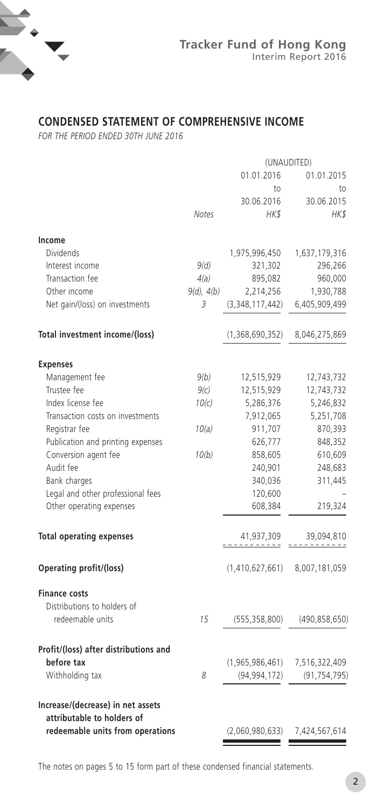

## **CONDENSED STATEMENT OF COMPREHENSIVE INCOME**

*FOR THE PERIOD ENDED 30TH JUNE 2016*

|                                       | (UNAUDITED)  |                 |                 |
|---------------------------------------|--------------|-----------------|-----------------|
|                                       |              | 01.01.2016      | 01.01.2015      |
|                                       |              | to              | to              |
|                                       |              | 30.06.2016      | 30.06.2015      |
|                                       | <b>Notes</b> | HK\$            | HK\$            |
| Income                                |              |                 |                 |
| <b>Dividends</b>                      |              | 1,975,996,450   | 1,637,179,316   |
| Interest income                       | 9(d)         |                 | 296,266         |
|                                       |              | 321,302         |                 |
| Transaction fee                       | 4(a)         | 895,082         | 960,000         |
| Other income                          | 9(d), 4(b)   | 2,214,256       | 1,930,788       |
| Net gain/(loss) on investments        | 3            | (3,348,117,442) | 6,405,909,499   |
| Total investment income/(loss)        |              | (1,368,690,352) | 8,046,275,869   |
| <b>Expenses</b>                       |              |                 |                 |
| Management fee                        | 9(b)         | 12,515,929      | 12,743,732      |
| Trustee fee                           | 9(c)         | 12,515,929      | 12,743,732      |
| Index license fee                     | 10(c)        | 5,286,376       | 5,246,832       |
| Transaction costs on investments      |              | 7,912,065       | 5,251,708       |
| Registrar fee                         | 10(a)        | 911,707         | 870,393         |
| Publication and printing expenses     |              | 626,777         | 848,352         |
| Conversion agent fee                  | 10(b)        | 858,605         | 610,609         |
| Audit fee                             |              | 240,901         | 248,683         |
| Bank charges                          |              | 340,036         | 311,445         |
| Legal and other professional fees     |              | 120,600         |                 |
| Other operating expenses              |              | 608,384         | 219,324         |
| <b>Total operating expenses</b>       |              | 41,937,309      | 39,094,810      |
|                                       |              | .               |                 |
| Operating profit/(loss)               |              | (1,410,627,661) | 8,007,181,059   |
| <b>Finance costs</b>                  |              |                 |                 |
| Distributions to holders of           |              |                 |                 |
| redeemable units                      | 15           | (555, 358, 800) | (490, 858, 650) |
| Profit/(loss) after distributions and |              |                 |                 |
| before tax                            |              | (1,965,986,461) | 7,516,322,409   |
| Withholding tax                       | 8            | (94, 994, 172)  | (91, 754, 795)  |
| Increase/(decrease) in net assets     |              |                 |                 |
| attributable to holders of            |              |                 |                 |
| redeemable units from operations      |              | (2,060,980,633) | 7,424,567,614   |
|                                       |              |                 |                 |

The notes on pages 5 to 15 form part of these condensed financial statements.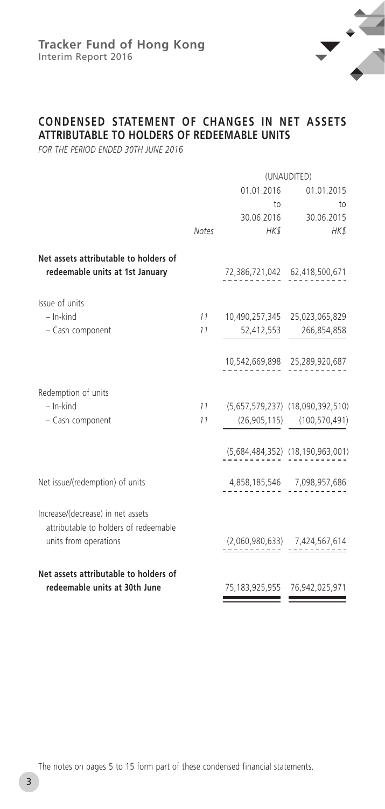

## **CONDENSED STATEMENT OF CHANGES IN NET ASSETS ATTRIBUTABLE TO HOLDERS OF REDEEMABLE UNITS**

*FOR THE PERIOD ENDED 30TH JUNE 2016*

|                                                                            | (UNAUDITED)  |                                     |                                     |
|----------------------------------------------------------------------------|--------------|-------------------------------------|-------------------------------------|
|                                                                            |              | 01.01.2016                          | 01.01.2015                          |
|                                                                            |              | to                                  | to                                  |
|                                                                            |              |                                     | 30.06.2016 30.06.2015               |
|                                                                            | <b>Notes</b> | HK\$                                | HK\$                                |
| Net assets attributable to holders of<br>redeemable units at 1st January   |              |                                     | 72,386,721,042 62,418,500,671       |
| Issue of units                                                             |              |                                     |                                     |
| $-$ In-kind                                                                |              | 11 10,490,257,345 25,023,065,829    |                                     |
| - Cash component                                                           | 11           | 52,412,553                          | 266,854,858                         |
|                                                                            |              |                                     | 10,542,669,898 25,289,920,687       |
| Redemption of units                                                        |              |                                     |                                     |
| $-$ In-kind                                                                |              | 11 (5,657,579,237) (18,090,392,510) |                                     |
| - Cash component                                                           | 11           |                                     | $(26,905,115)$ $(100,570,491)$      |
|                                                                            |              |                                     | (5,684,484,352) (18,190,963,001)    |
| Net issue/(redemption) of units                                            |              |                                     | 4,858,185,546 7,098,957,686         |
| Increase/(decrease) in net assets<br>attributable to holders of redeemable |              |                                     |                                     |
| units from operations                                                      |              |                                     | $(2,060,980,633)$ 7,424,567,614     |
| Net assets attributable to holders of                                      |              |                                     |                                     |
| redeemable units at 30th June                                              |              |                                     | 75, 183, 925, 955 76, 942, 025, 971 |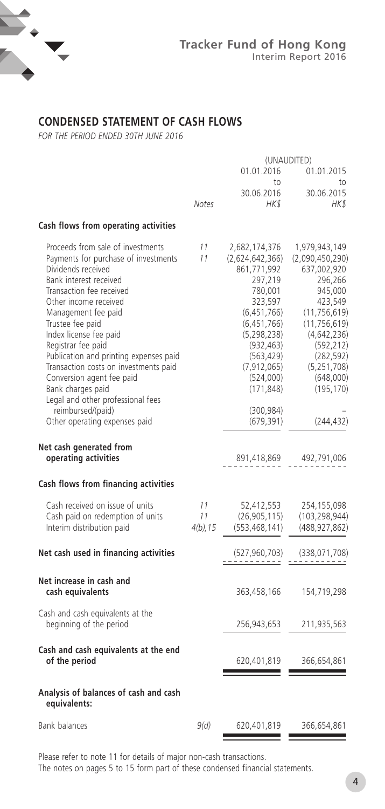

## **CONDENSED STATEMENT OF CASH FLOWS**

*FOR THE PERIOD ENDED 30TH JUNE 2016*

| (UNAUDITED)             |                                                                                                                                                                                                                                     |                                                                                                                                                                                                                           |  |
|-------------------------|-------------------------------------------------------------------------------------------------------------------------------------------------------------------------------------------------------------------------------------|---------------------------------------------------------------------------------------------------------------------------------------------------------------------------------------------------------------------------|--|
|                         | 01.01.2016<br>to                                                                                                                                                                                                                    | 01.01.2015<br>to                                                                                                                                                                                                          |  |
| <b>Notes</b>            | 30.06.2016<br>HKS                                                                                                                                                                                                                   | 30.06.2015<br>HK\$                                                                                                                                                                                                        |  |
|                         |                                                                                                                                                                                                                                     |                                                                                                                                                                                                                           |  |
| 11<br>11                | 2,682,174,376<br>(2,624,642,366)<br>861,771,992<br>297,219<br>780,001<br>323,597<br>(6,451,766)<br>(6,451,766)<br>(5, 298, 238)<br>(932, 463)<br>(563, 429)<br>(7, 912, 065)<br>(524,000)<br>(171, 848)<br>(300, 984)<br>(679, 391) | 1,979,943,149<br>(2,090,450,290)<br>637,002,920<br>296,266<br>945,000<br>423,549<br>(11, 756, 619)<br>(11, 756, 619)<br>(4,642,236)<br>(592, 212)<br>(282, 592)<br>(5, 251, 708)<br>(648,000)<br>(195, 170)<br>(244, 432) |  |
|                         | 891,418,869                                                                                                                                                                                                                         | 492,791,006                                                                                                                                                                                                               |  |
|                         |                                                                                                                                                                                                                                     |                                                                                                                                                                                                                           |  |
| 11<br>11<br>$4(b)$ , 15 | 52,412,553<br>(26,905,115)<br>(553, 468, 141)                                                                                                                                                                                       | 254,155,098<br>(103, 298, 944)<br>(488, 927, 862)                                                                                                                                                                         |  |
|                         | (527, 960, 703)                                                                                                                                                                                                                     | (338, 071, 708)                                                                                                                                                                                                           |  |
|                         | 363,458,166                                                                                                                                                                                                                         | 154,719,298                                                                                                                                                                                                               |  |
|                         | 256,943,653                                                                                                                                                                                                                         | 211,935,563                                                                                                                                                                                                               |  |
|                         | 620,401,819                                                                                                                                                                                                                         | 366,654,861                                                                                                                                                                                                               |  |
|                         |                                                                                                                                                                                                                                     |                                                                                                                                                                                                                           |  |
| 9(d)                    | 620,401,819                                                                                                                                                                                                                         | 366,654,861                                                                                                                                                                                                               |  |
|                         |                                                                                                                                                                                                                                     |                                                                                                                                                                                                                           |  |

Please refer to note 11 for details of major non-cash transactions.

The notes on pages 5 to 15 form part of these condensed financial statements.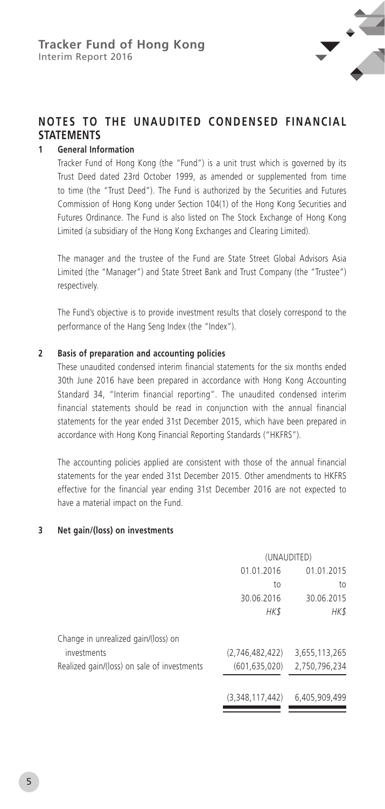

## **NOTES TO THE UNAUDITED CONDENSED FINANCIAL STATEMENTS**

#### **1 General Information**

Tracker Fund of Hong Kong (the "Fund") is a unit trust which is governed by its Trust Deed dated 23rd October 1999, as amended or supplemented from time to time (the "Trust Deed"). The Fund is authorized by the Securities and Futures Commission of Hong Kong under Section 104(1) of the Hong Kong Securities and Futures Ordinance. The Fund is also listed on The Stock Exchange of Hong Kong Limited (a subsidiary of the Hong Kong Exchanges and Clearing Limited).

The manager and the trustee of the Fund are State Street Global Advisors Asia Limited (the "Manager") and State Street Bank and Trust Company (the "Trustee") respectively.

The Fund's objective is to provide investment results that closely correspond to the performance of the Hang Seng Index (the "Index").

#### **2 Basis of preparation and accounting policies**

These unaudited condensed interim financial statements for the six months ended 30th June 2016 have been prepared in accordance with Hong Kong Accounting Standard 34, "Interim financial reporting". The unaudited condensed interim financial statements should be read in conjunction with the annual financial statements for the year ended 31st December 2015, which have been prepared in accordance with Hong Kong Financial Reporting Standards ("HKFRS").

The accounting policies applied are consistent with those of the annual financial statements for the year ended 31st December 2015. Other amendments to HKFRS effective for the financial year ending 31st December 2016 are not expected to have a material impact on the Fund.

#### **3 Net gain/(loss) on investments**

|                                             | (UNAUDITED)     |               |  |
|---------------------------------------------|-----------------|---------------|--|
|                                             | 01.01.2016      | 01.01.2015    |  |
|                                             | to              | to            |  |
|                                             | 30.06.2016      | 30.06.2015    |  |
|                                             | <b>HK\$</b>     | HK\$          |  |
| Change in unrealized gain/(loss) on         |                 |               |  |
| investments                                 | (2,746,482,422) | 3,655,113,265 |  |
| Realized gain/(loss) on sale of investments | (601, 635, 020) | 2,750,796,234 |  |
|                                             | (3,348,117,442) | 6,405,909,499 |  |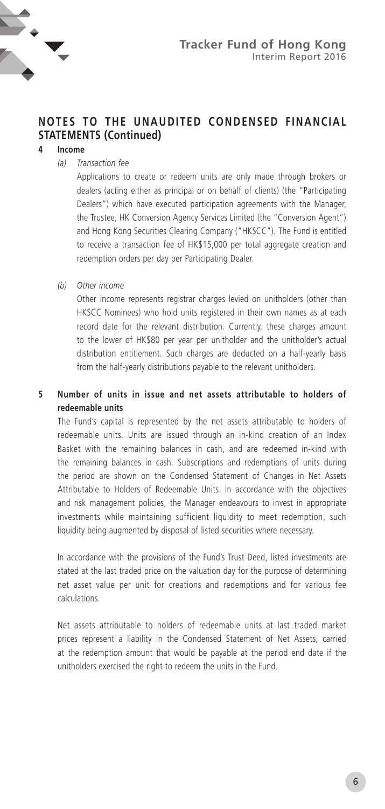

#### **4 Income**

*(a) Transaction fee*

Applications to create or redeem units are only made through brokers or dealers (acting either as principal or on behalf of clients) (the "Participating Dealers") which have executed participation agreements with the Manager, the Trustee, HK Conversion Agency Services Limited (the "Conversion Agent") and Hong Kong Securities Clearing Company ("HKSCC"). The Fund is entitled to receive a transaction fee of HK\$15,000 per total aggregate creation and redemption orders per day per Participating Dealer.

*(b) Other income*

Other income represents registrar charges levied on unitholders (other than HKSCC Nominees) who hold units registered in their own names as at each record date for the relevant distribution. Currently, these charges amount to the lower of HK\$80 per year per unitholder and the unitholder's actual distribution entitlement. Such charges are deducted on a half-yearly basis from the half-yearly distributions payable to the relevant unitholders.

#### **5 Number of units in issue and net assets attributable to holders of redeemable units**

The Fund's capital is represented by the net assets attributable to holders of redeemable units. Units are issued through an in-kind creation of an Index Basket with the remaining balances in cash, and are redeemed in-kind with the remaining balances in cash. Subscriptions and redemptions of units during the period are shown on the Condensed Statement of Changes in Net Assets Attributable to Holders of Redeemable Units. In accordance with the objectives and risk management policies, the Manager endeavours to invest in appropriate investments while maintaining sufficient liquidity to meet redemption, such liquidity being augmented by disposal of listed securities where necessary.

In accordance with the provisions of the Fund's Trust Deed, listed investments are stated at the last traded price on the valuation day for the purpose of determining net asset value per unit for creations and redemptions and for various fee calculations.

Net assets attributable to holders of redeemable units at last traded market prices represent a liability in the Condensed Statement of Net Assets, carried at the redemption amount that would be payable at the period end date if the unitholders exercised the right to redeem the units in the Fund.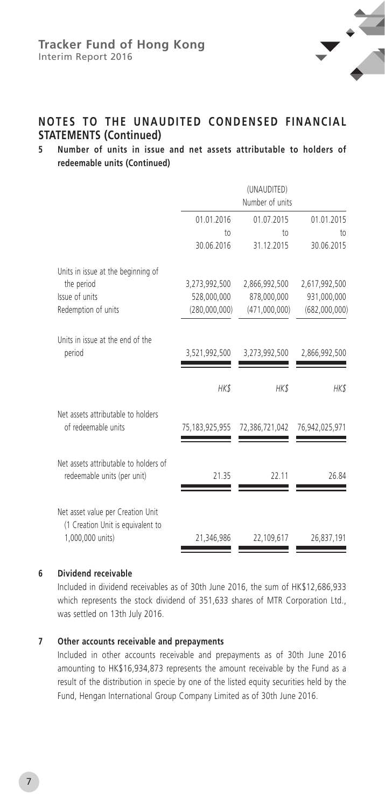

#### **5 Number of units in issue and net assets attributable to holders of redeemable units (Continued)**

|                   | (UNAUDITED)<br>Number of units |                 |
|-------------------|--------------------------------|-----------------|
| 01.01.2016        | 01.07.2015                     | 01.01.2015      |
| 10 <sub>0</sub>   | to                             | 10 <sub>1</sub> |
| 30.06.2016        | 31.12.2015                     | 30.06.2015      |
|                   |                                |                 |
| 3,273,992,500     | 2,866,992,500                  | 2,617,992,500   |
| 528,000,000       | 878,000,000                    | 931,000,000     |
| (280,000,000)     | (471,000,000)                  | (682,000,000)   |
|                   |                                |                 |
| 3,521,992,500     | 3,273,992,500                  | 2,866,992,500   |
| HK\$              | HK\$                           | HK\$            |
| 75, 183, 925, 955 | 72,386,721,042                 | 76,942,025,971  |
| 21.35             | 22.11                          | 26.84           |
| 21,346,986        | 22,109,617                     | 26,837,191      |
|                   |                                |                 |

#### **6 Dividend receivable**

Included in dividend receivables as of 30th June 2016, the sum of HK\$12,686,933 which represents the stock dividend of 351,633 shares of MTR Corporation Ltd., was settled on 13th July 2016.

#### **7 Other accounts receivable and prepayments**

Included in other accounts receivable and prepayments as of 30th June 2016 amounting to HK\$16,934,873 represents the amount receivable by the Fund as a result of the distribution in specie by one of the listed equity securities held by the Fund, Hengan International Group Company Limited as of 30th June 2016.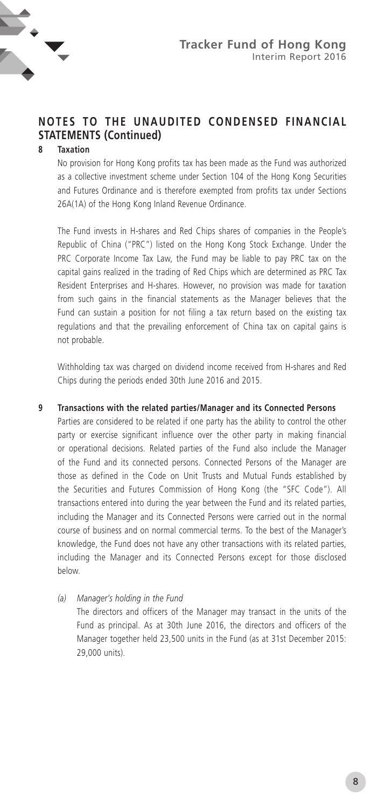

#### **8 Taxation**

No provision for Hong Kong profits tax has been made as the Fund was authorized as a collective investment scheme under Section 104 of the Hong Kong Securities and Futures Ordinance and is therefore exempted from profits tax under Sections 26A(1A) of the Hong Kong Inland Revenue Ordinance.

The Fund invests in H-shares and Red Chips shares of companies in the People's Republic of China ("PRC") listed on the Hong Kong Stock Exchange. Under the PRC Corporate Income Tax Law, the Fund may be liable to pay PRC tax on the capital gains realized in the trading of Red Chips which are determined as PRC Tax Resident Enterprises and H-shares. However, no provision was made for taxation from such gains in the financial statements as the Manager believes that the Fund can sustain a position for not filing a tax return based on the existing tax regulations and that the prevailing enforcement of China tax on capital gains is not probable.

Withholding tax was charged on dividend income received from H-shares and Red Chips during the periods ended 30th June 2016 and 2015.

#### **9 Transactions with the related parties/Manager and its Connected Persons**

Parties are considered to be related if one party has the ability to control the other party or exercise significant influence over the other party in making financial or operational decisions. Related parties of the Fund also include the Manager of the Fund and its connected persons. Connected Persons of the Manager are those as defined in the Code on Unit Trusts and Mutual Funds established by the Securities and Futures Commission of Hong Kong (the "SFC Code"). All transactions entered into during the year between the Fund and its related parties, including the Manager and its Connected Persons were carried out in the normal course of business and on normal commercial terms. To the best of the Manager's knowledge, the Fund does not have any other transactions with its related parties, including the Manager and its Connected Persons except for those disclosed below.

#### *(a) Manager's holding in the Fund*

The directors and officers of the Manager may transact in the units of the Fund as principal. As at 30th June 2016, the directors and officers of the Manager together held 23,500 units in the Fund (as at 31st December 2015: 29,000 units).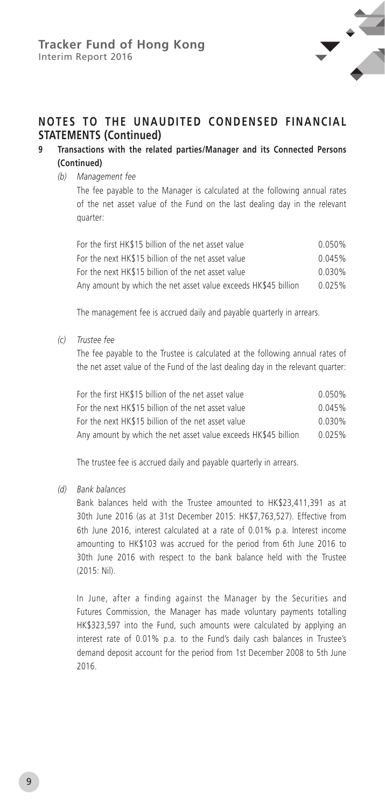

#### **9 Transactions with the related parties/Manager and its Connected Persons (Continued)**

#### *(b) Management fee*

The fee payable to the Manager is calculated at the following annual rates of the net asset value of the Fund on the last dealing day in the relevant quarter:

| For the first HK\$15 billion of the net asset value            | 0.050%    |
|----------------------------------------------------------------|-----------|
| For the next HK\$15 billion of the net asset value             | 0.045%    |
| For the next HK\$15 billion of the net asset value             | $0.030\%$ |
| Any amount by which the net asset value exceeds HK\$45 billion | 0.025%    |

The management fee is accrued daily and payable quarterly in arrears.

*(c) Trustee fee*

The fee payable to the Trustee is calculated at the following annual rates of the net asset value of the Fund of the last dealing day in the relevant quarter:

| For the first HK\$15 billion of the net asset value            | 0.050%    |
|----------------------------------------------------------------|-----------|
| For the next HK\$15 billion of the net asset value             | 0.045%    |
| For the next HK\$15 billion of the net asset value             | $0.030\%$ |
| Any amount by which the net asset value exceeds HK\$45 billion | 0.025%    |

The trustee fee is accrued daily and payable quarterly in arrears.

*(d) Bank balances*

Bank balances held with the Trustee amounted to HK\$23,411,391 as at 30th June 2016 (as at 31st December 2015: HK\$7,763,527). Effective from 6th June 2016, interest calculated at a rate of 0.01% p.a. Interest income amounting to HK\$103 was accrued for the period from 6th June 2016 to 30th June 2016 with respect to the bank balance held with the Trustee (2015: Nil).

In June, after a finding against the Manager by the Securities and Futures Commission, the Manager has made voluntary payments totalling HK\$323,597 into the Fund, such amounts were calculated by applying an interest rate of 0.01% p.a. to the Fund's daily cash balances in Trustee's demand deposit account for the period from 1st December 2008 to 5th June 2016.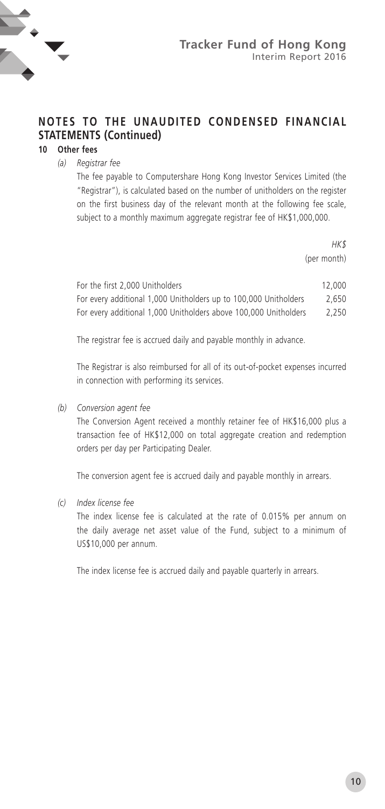

## **10 Other fees**

*(a) Registrar fee*

The fee payable to Computershare Hong Kong Investor Services Limited (the "Registrar"), is calculated based on the number of unitholders on the register on the first business day of the relevant month at the following fee scale, subject to a monthly maximum aggregate registrar fee of HK\$1,000,000.

> *HK\$*  (per month)

| For the first 2,000 Unitholders                                  | 12,000 |
|------------------------------------------------------------------|--------|
| For every additional 1,000 Unitholders up to 100,000 Unitholders | 2.650  |
| For every additional 1,000 Unitholders above 100,000 Unitholders | 2.250  |

The registrar fee is accrued daily and payable monthly in advance.

The Registrar is also reimbursed for all of its out-of-pocket expenses incurred in connection with performing its services.

#### *(b) Conversion agent fee*

The Conversion Agent received a monthly retainer fee of HK\$16,000 plus a transaction fee of HK\$12,000 on total aggregate creation and redemption orders per day per Participating Dealer.

The conversion agent fee is accrued daily and payable monthly in arrears.

#### *(c) Index license fee*

The index license fee is calculated at the rate of 0.015% per annum on the daily average net asset value of the Fund, subject to a minimum of US\$10,000 per annum.

The index license fee is accrued daily and payable quarterly in arrears.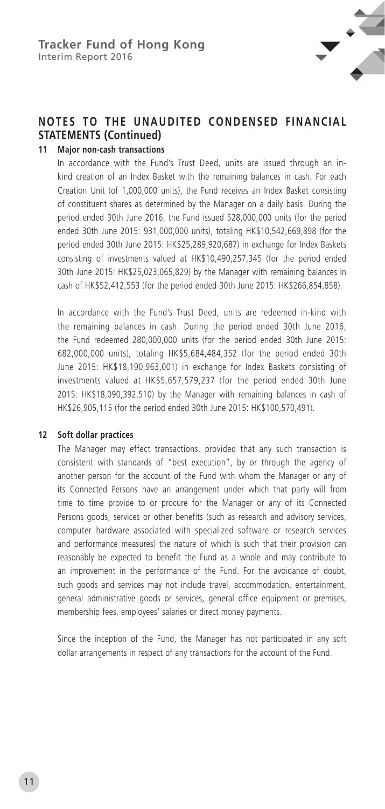

#### **11 Major non-cash transactions**

In accordance with the Fund's Trust Deed, units are issued through an inkind creation of an Index Basket with the remaining balances in cash. For each Creation Unit (of 1,000,000 units), the Fund receives an Index Basket consisting of constituent shares as determined by the Manager on a daily basis. During the period ended 30th June 2016, the Fund issued 528,000,000 units (for the period ended 30th June 2015: 931,000,000 units), totaling HK\$10,542,669,898 (for the period ended 30th June 2015: HK\$25,289,920,687) in exchange for Index Baskets consisting of investments valued at HK\$10,490,257,345 (for the period ended 30th June 2015: HK\$25,023,065,829) by the Manager with remaining balances in cash of HK\$52,412,553 (for the period ended 30th June 2015: HK\$266,854,858).

In accordance with the Fund's Trust Deed, units are redeemed in-kind with the remaining balances in cash. During the period ended 30th June 2016, the Fund redeemed 280,000,000 units (for the period ended 30th June 2015: 682,000,000 units), totaling HK\$5,684,484,352 (for the period ended 30th June 2015: HK\$18,190,963,001) in exchange for Index Baskets consisting of investments valued at HK\$5,657,579,237 (for the period ended 30th June 2015: HK\$18,090,392,510) by the Manager with remaining balances in cash of HK\$26,905,115 (for the period ended 30th June 2015: HK\$100,570,491).

#### **12 Soft dollar practices**

The Manager may effect transactions, provided that any such transaction is consistent with standards of "best execution", by or through the agency of another person for the account of the Fund with whom the Manager or any of its Connected Persons have an arrangement under which that party will from time to time provide to or procure for the Manager or any of its Connected Persons goods, services or other benefits (such as research and advisory services, computer hardware associated with specialized software or research services and performance measures) the nature of which is such that their provision can reasonably be expected to benefit the Fund as a whole and may contribute to an improvement in the performance of the Fund. For the avoidance of doubt, such goods and services may not include travel, accommodation, entertainment, general administrative goods or services, general office equipment or premises, membership fees, employees' salaries or direct money payments.

Since the inception of the Fund, the Manager has not participated in any soft dollar arrangements in respect of any transactions for the account of the Fund.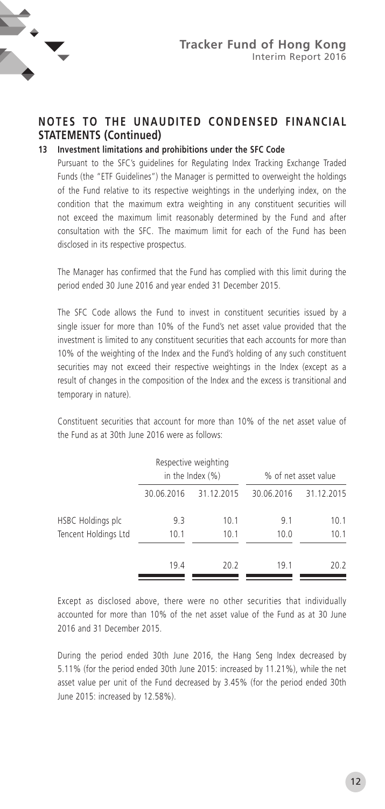

#### **13 Investment limitations and prohibitions under the SFC Code**

Pursuant to the SFC's guidelines for Regulating Index Tracking Exchange Traded Funds (the "ETF Guidelines") the Manager is permitted to overweight the holdings of the Fund relative to its respective weightings in the underlying index, on the condition that the maximum extra weighting in any constituent securities will not exceed the maximum limit reasonably determined by the Fund and after consultation with the SFC. The maximum limit for each of the Fund has been disclosed in its respective prospectus.

The Manager has confirmed that the Fund has complied with this limit during the period ended 30 June 2016 and year ended 31 December 2015.

The SFC Code allows the Fund to invest in constituent securities issued by a single issuer for more than 10% of the Fund's net asset value provided that the investment is limited to any constituent securities that each accounts for more than 10% of the weighting of the Index and the Fund's holding of any such constituent securities may not exceed their respective weightings in the Index (except as a result of changes in the composition of the Index and the excess is transitional and temporary in nature).

Constituent securities that account for more than 10% of the net asset value of the Fund as at 30th June 2016 were as follows:

|                          |            | Respective weighting<br>in the Index $(\%)$ |            | % of net asset value |
|--------------------------|------------|---------------------------------------------|------------|----------------------|
|                          | 30.06.2016 | 31.12.2015                                  | 30.06.2016 | 31.12.2015           |
| <b>HSBC Holdings plc</b> | 9.3        | 10.1                                        | 9.1        | 10.1                 |
| Tencent Holdings Ltd     | 10.1       | 10.1                                        | 10.0       | 10.1                 |
|                          | 19.4       | 20.2                                        | 19.1       | 20.2                 |

Except as disclosed above, there were no other securities that individually accounted for more than 10% of the net asset value of the Fund as at 30 June 2016 and 31 December 2015.

During the period ended 30th June 2016, the Hang Seng Index decreased by 5.11% (for the period ended 30th June 2015: increased by 11.21%), while the net asset value per unit of the Fund decreased by 3.45% (for the period ended 30th June 2015: increased by 12.58%).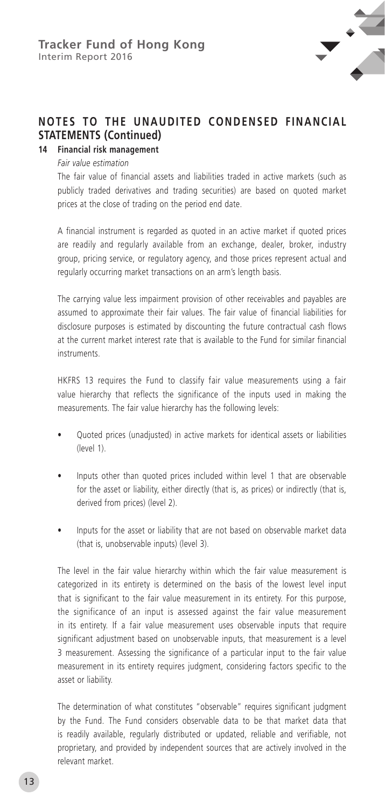

#### **14 Financial risk management**

*Fair value estimation*

The fair value of financial assets and liabilities traded in active markets (such as publicly traded derivatives and trading securities) are based on quoted market prices at the close of trading on the period end date.

A financial instrument is regarded as quoted in an active market if quoted prices are readily and regularly available from an exchange, dealer, broker, industry group, pricing service, or regulatory agency, and those prices represent actual and regularly occurring market transactions on an arm's length basis.

The carrying value less impairment provision of other receivables and payables are assumed to approximate their fair values. The fair value of financial liabilities for disclosure purposes is estimated by discounting the future contractual cash flows at the current market interest rate that is available to the Fund for similar financial instruments.

HKFRS 13 requires the Fund to classify fair value measurements using a fair value hierarchy that reflects the significance of the inputs used in making the measurements. The fair value hierarchy has the following levels:

- Quoted prices (unadjusted) in active markets for identical assets or liabilities (level 1).
- Inputs other than quoted prices included within level 1 that are observable for the asset or liability, either directly (that is, as prices) or indirectly (that is, derived from prices) (level 2).
- Inputs for the asset or liability that are not based on observable market data (that is, unobservable inputs) (level 3).

The level in the fair value hierarchy within which the fair value measurement is categorized in its entirety is determined on the basis of the lowest level input that is significant to the fair value measurement in its entirety. For this purpose, the significance of an input is assessed against the fair value measurement in its entirety. If a fair value measurement uses observable inputs that require significant adjustment based on unobservable inputs, that measurement is a level 3 measurement. Assessing the significance of a particular input to the fair value measurement in its entirety requires judgment, considering factors specific to the asset or liability.

The determination of what constitutes "observable" requires significant judgment by the Fund. The Fund considers observable data to be that market data that is readily available, regularly distributed or updated, reliable and verifiable, not proprietary, and provided by independent sources that are actively involved in the relevant market.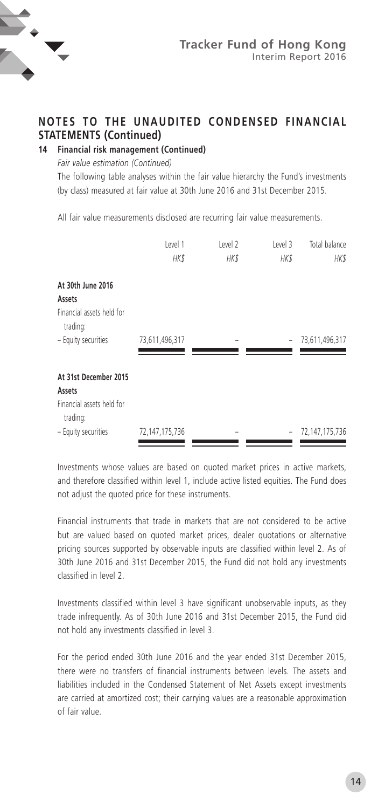

**14 Financial risk management (Continued)**

*Fair value estimation (Continued)*

The following table analyses within the fair value hierarchy the Fund's investments (by class) measured at fair value at 30th June 2016 and 31st December 2015.

All fair value measurements disclosed are recurring fair value measurements.

|                                                              | Level 1<br><b>HK\$</b> | Level 2<br>HK\$ | Level 3<br><b>HK\$</b> | Total balance<br>HK\$ |
|--------------------------------------------------------------|------------------------|-----------------|------------------------|-----------------------|
| At 30th June 2016                                            |                        |                 |                        |                       |
| Assets<br>Financial assets held for<br>trading:              |                        |                 |                        |                       |
| - Equity securities                                          | 73,611,496,317         | -               | $\bar{ }$              | 73,611,496,317        |
| At 31st December 2015<br>Assets<br>Financial assets held for |                        |                 |                        |                       |
| trading:<br>- Equity securities                              | 72,147,175,736         |                 |                        | 72,147,175,736        |

Investments whose values are based on quoted market prices in active markets, and therefore classified within level 1, include active listed equities. The Fund does not adjust the quoted price for these instruments.

Financial instruments that trade in markets that are not considered to be active but are valued based on quoted market prices, dealer quotations or alternative pricing sources supported by observable inputs are classified within level 2. As of 30th June 2016 and 31st December 2015, the Fund did not hold any investments classified in level 2.

Investments classified within level 3 have significant unobservable inputs, as they trade infrequently. As of 30th June 2016 and 31st December 2015, the Fund did not hold any investments classified in level 3.

For the period ended 30th June 2016 and the year ended 31st December 2015, there were no transfers of financial instruments between levels. The assets and liabilities included in the Condensed Statement of Net Assets except investments are carried at amortized cost; their carrying values are a reasonable approximation of fair value.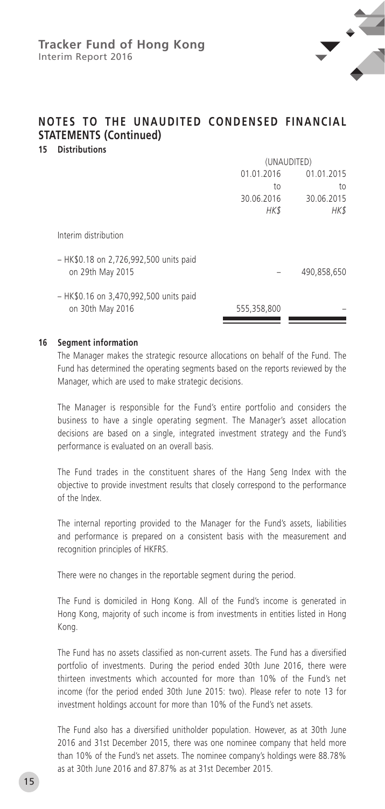

**15 Distributions**

|                                                            | (UNAUDITED) |             |  |
|------------------------------------------------------------|-------------|-------------|--|
|                                                            | 01.01.2016  | 01.01.2015  |  |
|                                                            | to          | to          |  |
|                                                            | 30.06.2016  | 30.06.2015  |  |
|                                                            | <b>HK\$</b> | HK\$        |  |
| Interim distribution                                       |             |             |  |
| - HK\$0.18 on 2,726,992,500 units paid<br>on 29th May 2015 |             | 490,858,650 |  |
| - HK\$0.16 on 3,470,992,500 units paid<br>on 30th May 2016 | 555,358,800 |             |  |
|                                                            |             |             |  |

#### **16 Segment information**

The Manager makes the strategic resource allocations on behalf of the Fund. The Fund has determined the operating segments based on the reports reviewed by the Manager, which are used to make strategic decisions.

The Manager is responsible for the Fund's entire portfolio and considers the business to have a single operating segment. The Manager's asset allocation decisions are based on a single, integrated investment strategy and the Fund's performance is evaluated on an overall basis.

The Fund trades in the constituent shares of the Hang Seng Index with the objective to provide investment results that closely correspond to the performance of the Index.

The internal reporting provided to the Manager for the Fund's assets, liabilities and performance is prepared on a consistent basis with the measurement and recognition principles of HKFRS.

There were no changes in the reportable segment during the period.

The Fund is domiciled in Hong Kong. All of the Fund's income is generated in Hong Kong, majority of such income is from investments in entities listed in Hong Kong.

The Fund has no assets classified as non-current assets. The Fund has a diversified portfolio of investments. During the period ended 30th June 2016, there were thirteen investments which accounted for more than 10% of the Fund's net income (for the period ended 30th June 2015: two). Please refer to note 13 for investment holdings account for more than 10% of the Fund's net assets.

The Fund also has a diversified unitholder population. However, as at 30th June 2016 and 31st December 2015, there was one nominee company that held more than 10% of the Fund's net assets. The nominee company's holdings were 88.78% as at 30th June 2016 and 87.87% as at 31st December 2015.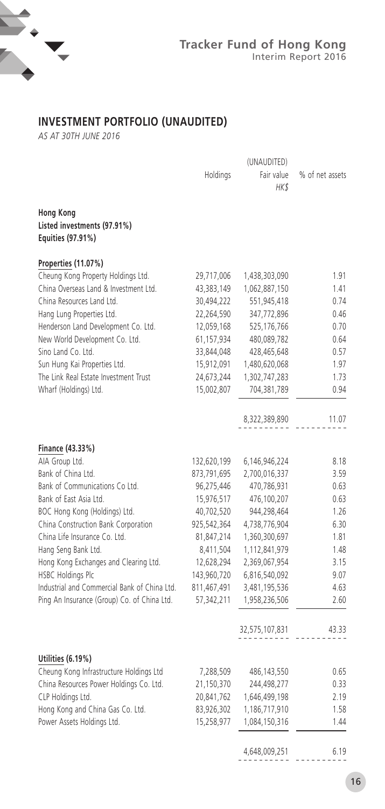

## **INVESTMENT PORTFOLIO (UNAUDITED)**

*AS AT 30TH JUNE 2016*

|                                              | Holdings    | Fair value     | % of net assets |
|----------------------------------------------|-------------|----------------|-----------------|
|                                              |             | <b>HK\$</b>    |                 |
|                                              |             |                |                 |
| <b>Hong Kong</b>                             |             |                |                 |
| Listed investments (97.91%)                  |             |                |                 |
| Equities (97.91%)                            |             |                |                 |
| Properties (11.07%)                          |             |                |                 |
| Cheung Kong Property Holdings Ltd.           | 29,717,006  | 1,438,303,090  | 1.91            |
| China Overseas Land & Investment Ltd.        | 43,383,149  | 1,062,887,150  | 1.41            |
| China Resources Land Ltd.                    | 30,494,222  | 551,945,418    | 0.74            |
| Hang Lung Properties Ltd.                    | 22,264,590  | 347,772,896    | 0.46            |
| Henderson Land Development Co. Ltd.          | 12,059,168  | 525,176,766    | 0.70            |
| New World Development Co. Ltd.               | 61,157,934  | 480,089,782    | 0.64            |
| Sino Land Co. Ltd.                           | 33,844,048  | 428,465,648    | 0.57            |
| Sun Hung Kai Properties Ltd.                 | 15,912,091  | 1,480,620,068  | 1.97            |
| The Link Real Estate Investment Trust        | 24,673,244  | 1,302,747,283  | 1.73            |
| Wharf (Holdings) Ltd.                        | 15,002,807  | 704,381,789    | 0.94            |
|                                              |             |                |                 |
|                                              |             | 8,322,389,890  | 11.07           |
|                                              |             |                |                 |
| Finance (43.33%)                             |             |                |                 |
| AIA Group Ltd.                               | 132,620,199 | 6,146,946,224  | 8.18            |
| Bank of China Ltd.                           | 873,791,695 | 2,700,016,337  | 3.59            |
| Bank of Communications Co Ltd.               | 96,275,446  | 470,786,931    | 0.63            |
| Bank of East Asia Ltd.                       | 15,976,517  | 476,100,207    | 0.63            |
| BOC Hong Kong (Holdings) Ltd.                | 40,702,520  | 944,298,464    | 1.26            |
| China Construction Bank Corporation          | 925,542,364 | 4,738,776,904  | 6.30            |
| China Life Insurance Co. Ltd.                | 81,847,214  | 1,360,300,697  | 1.81            |
| Hang Seng Bank Ltd.                          | 8,411,504   | 1,112,841,979  | 1.48            |
| Hong Kong Exchanges and Clearing Ltd.        | 12,628,294  | 2,369,067,954  | 3.15            |
| <b>HSBC Holdings Plc</b>                     | 143,960,720 | 6,816,540,092  | 9.07            |
| Industrial and Commercial Bank of China Ltd. | 811,467,491 | 3,481,195,536  | 4.63            |
| Ping An Insurance (Group) Co. of China Ltd.  | 57,342,211  | 1,958,236,506  | 2.60            |
|                                              |             |                |                 |
|                                              |             | 32,575,107,831 | 43.33           |
|                                              |             |                |                 |
| Utilities (6.19%)                            |             |                |                 |
| Cheung Kong Infrastructure Holdings Ltd      | 7,288,509   | 486, 143, 550  | 0.65            |
| China Resources Power Holdings Co. Ltd.      | 21,150,370  | 244,498,277    | 0.33            |
| CLP Holdings Ltd.                            | 20,841,762  | 1,646,499,198  | 2.19            |
| Hong Kong and China Gas Co. Ltd.             | 83,926,302  | 1,186,717,910  | 1.58            |
| Power Assets Holdings Ltd.                   | 15,258,977  | 1,084,150,316  | 1.44            |
|                                              |             |                |                 |
|                                              |             | A CAO 000 JE1  | C <sub>10</sub> |

4,648,009,251 6.19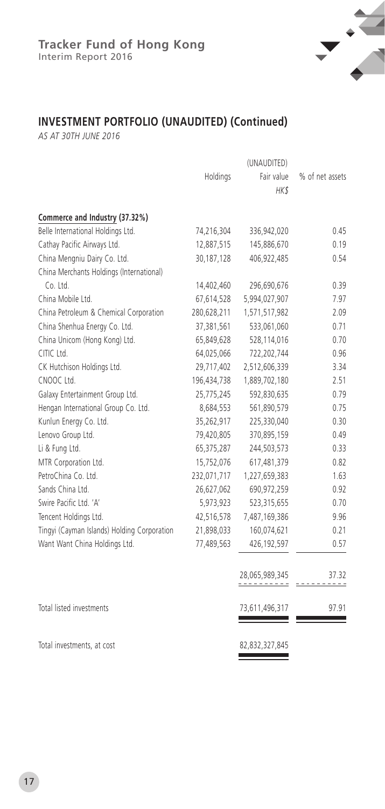

## **INVESTMENT PORTFOLIO (UNAUDITED) (Continued)**

*AS AT 30TH JUNE 2016*

|                                             | Holdings    | Fair value     | % of net assets |
|---------------------------------------------|-------------|----------------|-----------------|
|                                             |             | HK\$           |                 |
| Commerce and Industry (37.32%)              |             |                |                 |
| Belle International Holdings Ltd.           | 74,216,304  | 336,942,020    | 0.45            |
| Cathay Pacific Airways Ltd.                 | 12,887,515  | 145,886,670    | 0.19            |
| China Mengniu Dairy Co. Ltd.                | 30,187,128  | 406,922,485    | 0.54            |
| China Merchants Holdings (International)    |             |                |                 |
| Co. Ltd.                                    | 14,402,460  | 296,690,676    | 0.39            |
| China Mobile Ltd.                           | 67,614,528  | 5,994,027,907  | 7.97            |
| China Petroleum & Chemical Corporation      | 280,628,211 | 1,571,517,982  | 2.09            |
| China Shenhua Energy Co. Ltd.               | 37,381,561  | 533,061,060    | 0.71            |
| China Unicom (Hong Kong) Ltd.               | 65,849,628  | 528,114,016    | 0.70            |
| CITIC Ltd.                                  | 64,025,066  | 722,202,744    | 0.96            |
| CK Hutchison Holdings Ltd.                  | 29,717,402  | 2,512,606,339  | 3.34            |
| CNOOC Ltd.                                  | 196,434,738 | 1,889,702,180  | 2.51            |
| Galaxy Entertainment Group Ltd.             | 25,775,245  | 592,830,635    | 0.79            |
| Hengan International Group Co. Ltd.         | 8,684,553   | 561,890,579    | 0.75            |
| Kunlun Energy Co. Ltd.                      | 35,262,917  | 225,330,040    | 0.30            |
| Lenovo Group Ltd.                           | 79,420,805  | 370,895,159    | 0.49            |
| Li & Fung Ltd.                              | 65,375,287  | 244,503,573    | 0.33            |
| MTR Corporation Ltd.                        | 15,752,076  | 617,481,379    | 0.82            |
| PetroChina Co. Ltd.                         | 232,071,717 | 1,227,659,383  | 1.63            |
| Sands China Ltd.                            | 26,627,062  | 690,972,259    | 0.92            |
| Swire Pacific Ltd. 'A'                      | 5,973,923   | 523,315,655    | 0.70            |
| Tencent Holdings Ltd.                       | 42,516,578  | 7,487,169,386  | 9.96            |
| Tingyi (Cayman Islands) Holding Corporation | 21,898,033  | 160,074,621    | 0.21            |
| Want Want China Holdings Ltd.               | 77,489,563  | 426, 192, 597  | 0.57            |
|                                             |             | 28,065,989,345 | 37.32           |
| Total listed investments                    |             | 73,611,496,317 | 97.91           |
| Total investments, at cost                  |             | 82,832,327,845 |                 |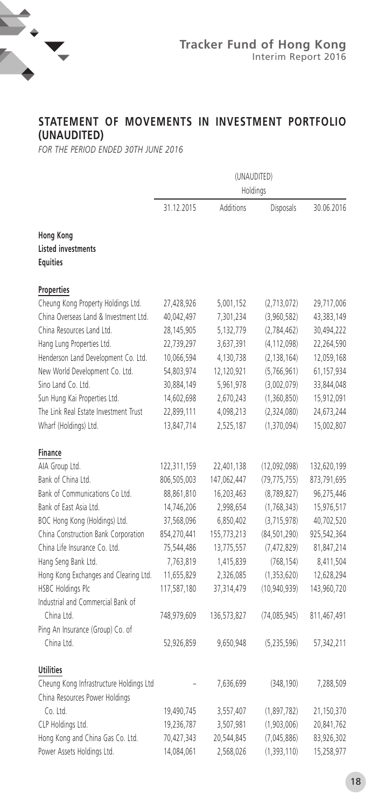

## **STATEMENT OF MOVEMENTS IN INVESTMENT PORTFOLIO (UNAUDITED)**

*FOR THE PERIOD ENDED 30TH JUNE 2016*

|                                                                  | (UNAUDITED)<br>Holdings |             |                |             |
|------------------------------------------------------------------|-------------------------|-------------|----------------|-------------|
|                                                                  | 31.12.2015              | Additions   | Disposals      | 30.06.2016  |
| <b>Hong Kong</b><br><b>Listed investments</b><br><b>Equities</b> |                         |             |                |             |
| Properties                                                       |                         |             |                |             |
| Cheung Kong Property Holdings Ltd.                               | 27,428,926              | 5,001,152   | (2,713,072)    | 29,717,006  |
| China Overseas Land & Investment Ltd.                            | 40,042,497              | 7,301,234   | (3,960,582)    | 43,383,149  |
| China Resources Land Ltd.                                        | 28,145,905              | 5,132,779   | (2,784,462)    | 30,494,222  |
| Hang Lung Properties Ltd.                                        | 22,739,297              | 3,637,391   | (4, 112, 098)  | 22,264,590  |
| Henderson Land Development Co. Ltd.                              | 10,066,594              | 4,130,738   | (2, 138, 164)  | 12,059,168  |
| New World Development Co. Ltd.                                   | 54,803,974              | 12,120,921  | (5,766,961)    | 61,157,934  |
| Sino Land Co. Ltd.                                               | 30,884,149              | 5,961,978   | (3,002,079)    | 33,844,048  |
| Sun Hung Kai Properties Ltd.                                     | 14,602,698              | 2,670,243   | (1,360,850)    | 15,912,091  |
| The Link Real Estate Investment Trust                            | 22,899,111              | 4,098,213   | (2,324,080)    | 24,673,244  |
| Wharf (Holdings) Ltd.                                            | 13,847,714              | 2,525,187   | (1, 370, 094)  | 15,002,807  |
| Finance                                                          |                         |             |                |             |
| AIA Group Ltd.                                                   | 122,311,159             | 22,401,138  | (12,092,098)   | 132,620,199 |
| Bank of China Ltd.                                               | 806,505,003             | 147,062,447 | (79, 775, 755) | 873,791,695 |
| Bank of Communications Co Ltd.                                   | 88,861,810              | 16,203,463  | (8, 789, 827)  | 96,275,446  |
| Bank of East Asia Ltd.                                           | 14,746,206              | 2,998,654   | (1, 768, 343)  | 15,976,517  |
| BOC Hong Kong (Holdings) Ltd.                                    | 37,568,096              | 6,850,402   | (3,715,978)    | 40,702,520  |
| China Construction Bank Corporation                              | 854,270,441             | 155,773,213 | (84, 501, 290) | 925,542,364 |
| China Life Insurance Co. Ltd.                                    | 75,544,486              | 13,775,557  | (7, 472, 829)  | 81,847,214  |
| Hang Seng Bank Ltd.                                              | 7,763,819               | 1,415,839   | (768, 154)     | 8,411,504   |
| Hong Kong Exchanges and Clearing Ltd.                            | 11,655,829              | 2,326,085   | (1,353,620)    | 12,628,294  |
| HSBC Holdings Plc                                                | 117,587,180             | 37,314,479  | (10,940,939)   | 143,960,720 |
| Industrial and Commercial Bank of                                |                         |             |                |             |
| China Ltd.                                                       | 748,979,609             | 136,573,827 | (74, 085, 945) | 811,467,491 |
| Ping An Insurance (Group) Co. of                                 |                         |             |                |             |
| China Ltd.                                                       | 52,926,859              | 9,650,948   | (5,235,596)    | 57,342,211  |
| <b>Utilities</b>                                                 |                         |             |                |             |
| Cheung Kong Infrastructure Holdings Ltd                          |                         | 7,636,699   | (348, 190)     | 7,288,509   |
| China Resources Power Holdings                                   |                         |             |                |             |
| Co. Ltd.                                                         | 19,490,745              | 3,557,407   | (1,897,782)    | 21,150,370  |
| CLP Holdings Ltd.                                                | 19,236,787              | 3,507,981   | (1,903,006)    | 20,841,762  |
| Hong Kong and China Gas Co. Ltd.                                 | 70,427,343              | 20,544,845  | (7,045,886)    | 83,926,302  |
| Power Assets Holdings Ltd.                                       | 14,084,061              | 2,568,026   | (1, 393, 110)  | 15,258,977  |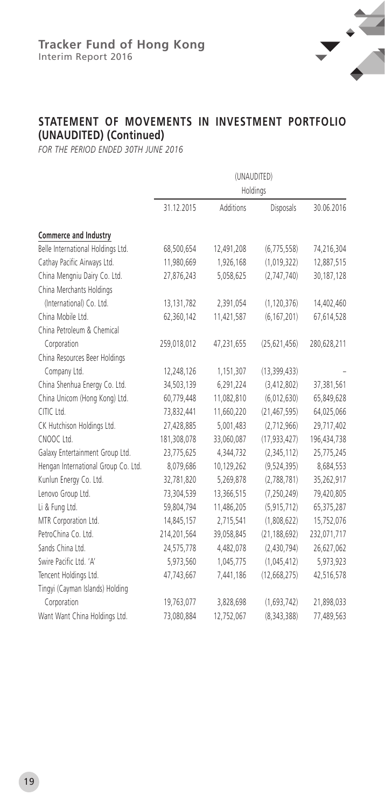

## **STATEMENT OF MOVEMENTS IN INVESTMENT PORTFOLIO (UNAUDITED) (Continued)**

*FOR THE PERIOD ENDED 30TH JUNE 2016*

|                                     | (UNAUDITED)<br>Holdings |            |                |             |
|-------------------------------------|-------------------------|------------|----------------|-------------|
|                                     |                         |            |                |             |
|                                     | 31.12.2015              | Additions  | Disposals      | 30.06.2016  |
| Commerce and Industry               |                         |            |                |             |
| Belle International Holdings Ltd.   | 68,500,654              | 12,491,208 | (6,775,558)    | 74,216,304  |
| Cathay Pacific Airways Ltd.         | 11,980,669              | 1,926,168  | (1,019,322)    | 12,887,515  |
| China Mengniu Dairy Co. Ltd.        | 27,876,243              | 5,058,625  | (2,747,740)    | 30,187,128  |
| China Merchants Holdings            |                         |            |                |             |
| (International) Co. Ltd.            | 13, 131, 782            | 2,391,054  | (1, 120, 376)  | 14,402,460  |
| China Mobile Ltd.                   | 62,360,142              | 11,421,587 | (6, 167, 201)  | 67,614,528  |
| China Petroleum & Chemical          |                         |            |                |             |
| Corporation                         | 259,018,012             | 47,231,655 | (25, 621, 456) | 280,628,211 |
| China Resources Beer Holdings       |                         |            |                |             |
| Company Ltd.                        | 12,248,126              | 1,151,307  | (13, 399, 433) |             |
| China Shenhua Energy Co. Ltd.       | 34,503,139              | 6,291,224  | (3, 412, 802)  | 37,381,561  |
| China Unicom (Hong Kong) Ltd.       | 60,779,448              | 11,082,810 | (6,012,630)    | 65,849,628  |
| CITIC Ltd.                          | 73,832,441              | 11,660,220 | (21, 467, 595) | 64,025,066  |
| CK Hutchison Holdings Ltd.          | 27,428,885              | 5,001,483  | (2,712,966)    | 29,717,402  |
| CNOOC Ltd.                          | 181,308,078             | 33,060,087 | (17, 933, 427) | 196,434,738 |
| Galaxy Entertainment Group Ltd.     | 23,775,625              | 4,344,732  | (2,345,112)    | 25,775,245  |
| Hengan International Group Co. Ltd. | 8,079,686               | 10,129,262 | (9,524,395)    | 8,684,553   |
| Kunlun Energy Co. Ltd.              | 32,781,820              | 5,269,878  | (2,788,781)    | 35,262,917  |
| Lenovo Group Ltd.                   | 73,304,539              | 13,366,515 | (7, 250, 249)  | 79,420,805  |
| Li & Fung Ltd.                      | 59,804,794              | 11,486,205 | (5, 915, 712)  | 65,375,287  |
| MTR Corporation Ltd.                | 14,845,157              | 2,715,541  | (1,808,622)    | 15,752,076  |
| PetroChina Co. Ltd.                 | 214,201,564             | 39,058,845 | (21, 188, 692) | 232,071,717 |
| Sands China Ltd.                    | 24,575,778              | 4,482,078  | (2,430,794)    | 26,627,062  |
| Swire Pacific Ltd. 'A'              | 5,973,560               | 1,045,775  | (1,045,412)    | 5,973,923   |
| Tencent Holdings Ltd.               | 47,743,667              | 7,441,186  | (12, 668, 275) | 42,516,578  |
| Tingyi (Cayman Islands) Holding     |                         |            |                |             |
| Corporation                         | 19,763,077              | 3,828,698  | (1,693,742)    | 21,898,033  |
| Want Want China Holdings Ltd.       | 73,080,884              | 12,752,067 | (8, 343, 388)  | 77,489,563  |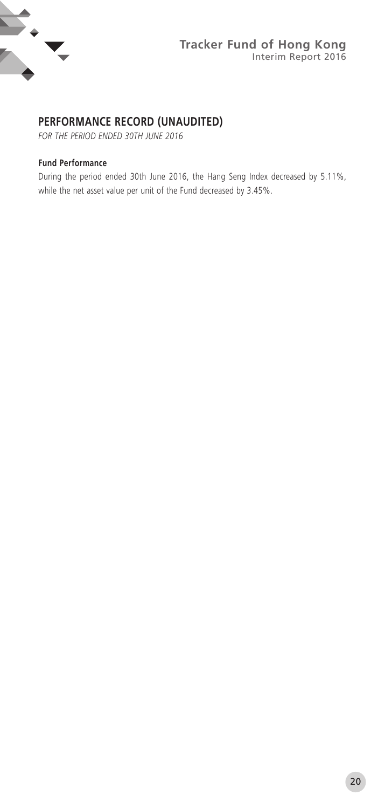

## **PERFORMANCE RECORD (UNAUDITED)**

*FOR THE PERIOD ENDED 30TH JUNE 2016*

#### **Fund Performance**

During the period ended 30th June 2016, the Hang Seng Index decreased by 5.11%, while the net asset value per unit of the Fund decreased by 3.45%.